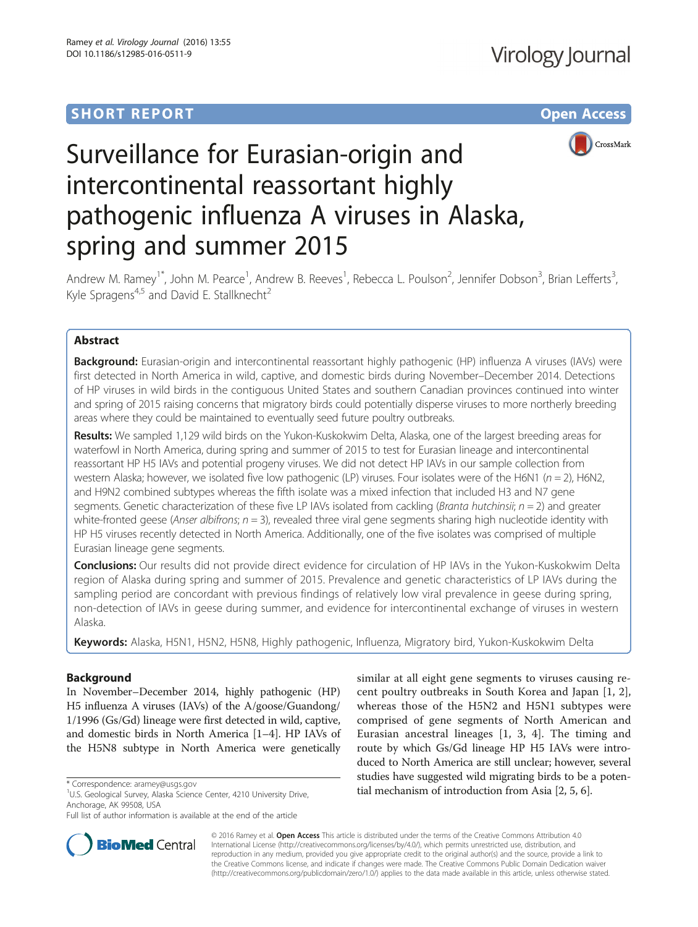# **SHORT REPORT SHORT CONSUMING THE CONSUMING THE CONSUMING THE CONSUMING THE CONSUMING THE CONSUMING THE CONSUMING THE CONSUMING THE CONSUMING THE CONSUMING THE CONSUMING THE CONSUMING THE CONSUMING THE CONSUMING THE CONS**



# Surveillance for Eurasian-origin and intercontinental reassortant highly pathogenic influenza A viruses in Alaska, spring and summer 2015

Andrew M. Ramey<sup>1\*</sup>, John M. Pearce<sup>1</sup>, Andrew B. Reeves<sup>1</sup>, Rebecca L. Poulson<sup>2</sup>, Jennifer Dobson<sup>3</sup>, Brian Lefferts<sup>3</sup> , Kyle Spragens<sup>4,5</sup> and David E. Stallknecht<sup>2</sup>

# Abstract

Background: Eurasian-origin and intercontinental reassortant highly pathogenic (HP) influenza A viruses (IAVs) were first detected in North America in wild, captive, and domestic birds during November–December 2014. Detections of HP viruses in wild birds in the contiguous United States and southern Canadian provinces continued into winter and spring of 2015 raising concerns that migratory birds could potentially disperse viruses to more northerly breeding areas where they could be maintained to eventually seed future poultry outbreaks.

Results: We sampled 1,129 wild birds on the Yukon-Kuskokwim Delta, Alaska, one of the largest breeding areas for waterfowl in North America, during spring and summer of 2015 to test for Eurasian lineage and intercontinental reassortant HP H5 IAVs and potential progeny viruses. We did not detect HP IAVs in our sample collection from western Alaska; however, we isolated five low pathogenic (LP) viruses. Four isolates were of the H6N1 ( $n = 2$ ), H6N2, and H9N2 combined subtypes whereas the fifth isolate was a mixed infection that included H3 and N7 gene segments. Genetic characterization of these five LP IAVs isolated from cackling (Branta hutchinsii;  $n = 2$ ) and greater white-fronted geese (Anser albifrons;  $n = 3$ ), revealed three viral gene segments sharing high nucleotide identity with HP H5 viruses recently detected in North America. Additionally, one of the five isolates was comprised of multiple Eurasian lineage gene segments.

Conclusions: Our results did not provide direct evidence for circulation of HP IAVs in the Yukon-Kuskokwim Delta region of Alaska during spring and summer of 2015. Prevalence and genetic characteristics of LP IAVs during the sampling period are concordant with previous findings of relatively low viral prevalence in geese during spring, non-detection of IAVs in geese during summer, and evidence for intercontinental exchange of viruses in western Alaska.

Keywords: Alaska, H5N1, H5N2, H5N8, Highly pathogenic, Influenza, Migratory bird, Yukon-Kuskokwim Delta

# Background

In November–December 2014, highly pathogenic (HP) H5 influenza A viruses (IAVs) of the A/goose/Guandong/ 1/1996 (Gs/Gd) lineage were first detected in wild, captive, and domestic birds in North America [\[1](#page-5-0)–[4](#page-5-0)]. HP IAVs of the H5N8 subtype in North America were genetically

<sup>1</sup>U.S. Geological Survey, Alaska Science Center, 4210 University Drive, Anchorage, AK 99508, USA

Full list of author information is available at the end of the article



© 2016 Ramey et al. Open Access This article is distributed under the terms of the Creative Commons Attribution 4.0 **BioMed** Central International License [\(http://creativecommons.org/licenses/by/4.0/](http://creativecommons.org/licenses/by/4.0/)), which permits unrestricted use, distribution, and reproduction in any medium, provided you give appropriate credit to the original author(s) and the source, provide a link to the Creative Commons license, and indicate if changes were made. The Creative Commons Public Domain Dedication waiver [\(http://creativecommons.org/publicdomain/zero/1.0/](http://creativecommons.org/publicdomain/zero/1.0/)) applies to the data made available in this article, unless otherwise stated.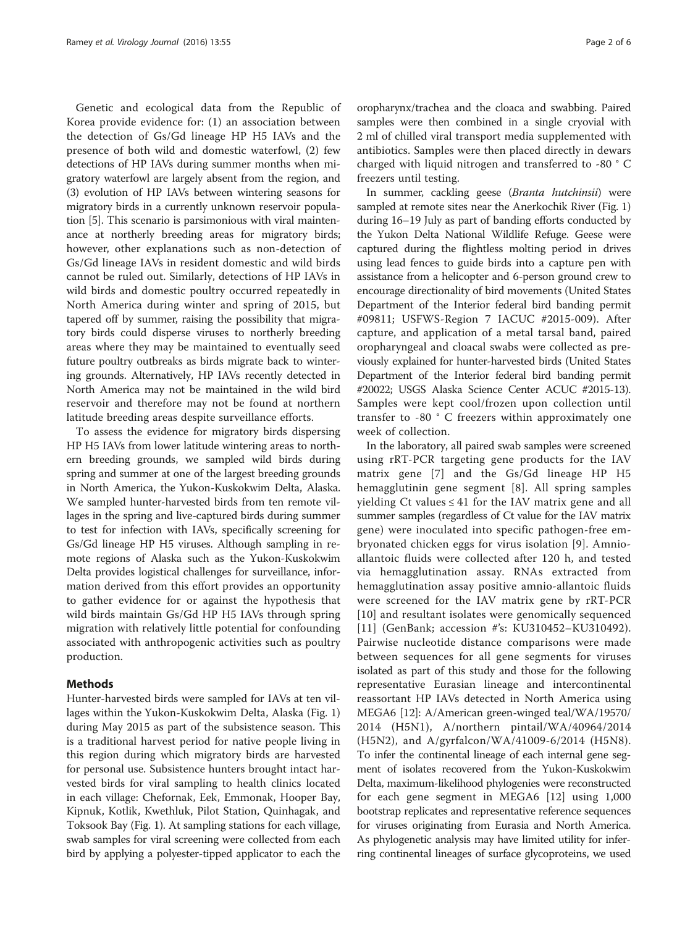Genetic and ecological data from the Republic of Korea provide evidence for: (1) an association between the detection of Gs/Gd lineage HP H5 IAVs and the presence of both wild and domestic waterfowl, (2) few detections of HP IAVs during summer months when migratory waterfowl are largely absent from the region, and (3) evolution of HP IAVs between wintering seasons for migratory birds in a currently unknown reservoir population [[5](#page-5-0)]. This scenario is parsimonious with viral maintenance at northerly breeding areas for migratory birds; however, other explanations such as non-detection of Gs/Gd lineage IAVs in resident domestic and wild birds cannot be ruled out. Similarly, detections of HP IAVs in wild birds and domestic poultry occurred repeatedly in North America during winter and spring of 2015, but tapered off by summer, raising the possibility that migratory birds could disperse viruses to northerly breeding areas where they may be maintained to eventually seed future poultry outbreaks as birds migrate back to wintering grounds. Alternatively, HP IAVs recently detected in North America may not be maintained in the wild bird reservoir and therefore may not be found at northern latitude breeding areas despite surveillance efforts.

To assess the evidence for migratory birds dispersing HP H5 IAVs from lower latitude wintering areas to northern breeding grounds, we sampled wild birds during spring and summer at one of the largest breeding grounds in North America, the Yukon-Kuskokwim Delta, Alaska. We sampled hunter-harvested birds from ten remote villages in the spring and live-captured birds during summer to test for infection with IAVs, specifically screening for Gs/Gd lineage HP H5 viruses. Although sampling in remote regions of Alaska such as the Yukon-Kuskokwim Delta provides logistical challenges for surveillance, information derived from this effort provides an opportunity to gather evidence for or against the hypothesis that wild birds maintain Gs/Gd HP H5 IAVs through spring migration with relatively little potential for confounding associated with anthropogenic activities such as poultry production.

# Methods

Hunter-harvested birds were sampled for IAVs at ten villages within the Yukon-Kuskokwim Delta, Alaska (Fig. [1](#page-2-0)) during May 2015 as part of the subsistence season. This is a traditional harvest period for native people living in this region during which migratory birds are harvested for personal use. Subsistence hunters brought intact harvested birds for viral sampling to health clinics located in each village: Chefornak, Eek, Emmonak, Hooper Bay, Kipnuk, Kotlik, Kwethluk, Pilot Station, Quinhagak, and Toksook Bay (Fig. [1](#page-2-0)). At sampling stations for each village, swab samples for viral screening were collected from each bird by applying a polyester-tipped applicator to each the

oropharynx/trachea and the cloaca and swabbing. Paired samples were then combined in a single cryovial with 2 ml of chilled viral transport media supplemented with antibiotics. Samples were then placed directly in dewars charged with liquid nitrogen and transferred to -80 ° C freezers until testing.

In summer, cackling geese (Branta hutchinsii) were sampled at remote sites near the Anerkochik River (Fig. [1](#page-2-0)) during 16–19 July as part of banding efforts conducted by the Yukon Delta National Wildlife Refuge. Geese were captured during the flightless molting period in drives using lead fences to guide birds into a capture pen with assistance from a helicopter and 6-person ground crew to encourage directionality of bird movements (United States Department of the Interior federal bird banding permit #09811; USFWS-Region 7 IACUC #2015-009). After capture, and application of a metal tarsal band, paired oropharyngeal and cloacal swabs were collected as previously explained for hunter-harvested birds (United States Department of the Interior federal bird banding permit #20022; USGS Alaska Science Center ACUC #2015-13). Samples were kept cool/frozen upon collection until transfer to -80 ° C freezers within approximately one week of collection.

In the laboratory, all paired swab samples were screened using rRT-PCR targeting gene products for the IAV matrix gene [[7](#page-5-0)] and the Gs/Gd lineage HP H5 hemagglutinin gene segment [[8\]](#page-5-0). All spring samples yielding  $Ct$  values ≤ 41 for the IAV matrix gene and all summer samples (regardless of Ct value for the IAV matrix gene) were inoculated into specific pathogen-free embryonated chicken eggs for virus isolation [[9\]](#page-5-0). Amnioallantoic fluids were collected after 120 h, and tested via hemagglutination assay. RNAs extracted from hemagglutination assay positive amnio-allantoic fluids were screened for the IAV matrix gene by rRT-PCR [[10](#page-5-0)] and resultant isolates were genomically sequenced [[11](#page-5-0)] (GenBank; accession #'s: KU310452-KU310492). Pairwise nucleotide distance comparisons were made between sequences for all gene segments for viruses isolated as part of this study and those for the following representative Eurasian lineage and intercontinental reassortant HP IAVs detected in North America using MEGA6 [\[12](#page-5-0)]: A/American green-winged teal/WA/19570/ 2014 (H5N1), A/northern pintail/WA/40964/2014 (H5N2), and A/gyrfalcon/WA/41009-6/2014 (H5N8). To infer the continental lineage of each internal gene segment of isolates recovered from the Yukon-Kuskokwim Delta, maximum-likelihood phylogenies were reconstructed for each gene segment in MEGA6 [\[12](#page-5-0)] using 1,000 bootstrap replicates and representative reference sequences for viruses originating from Eurasia and North America. As phylogenetic analysis may have limited utility for inferring continental lineages of surface glycoproteins, we used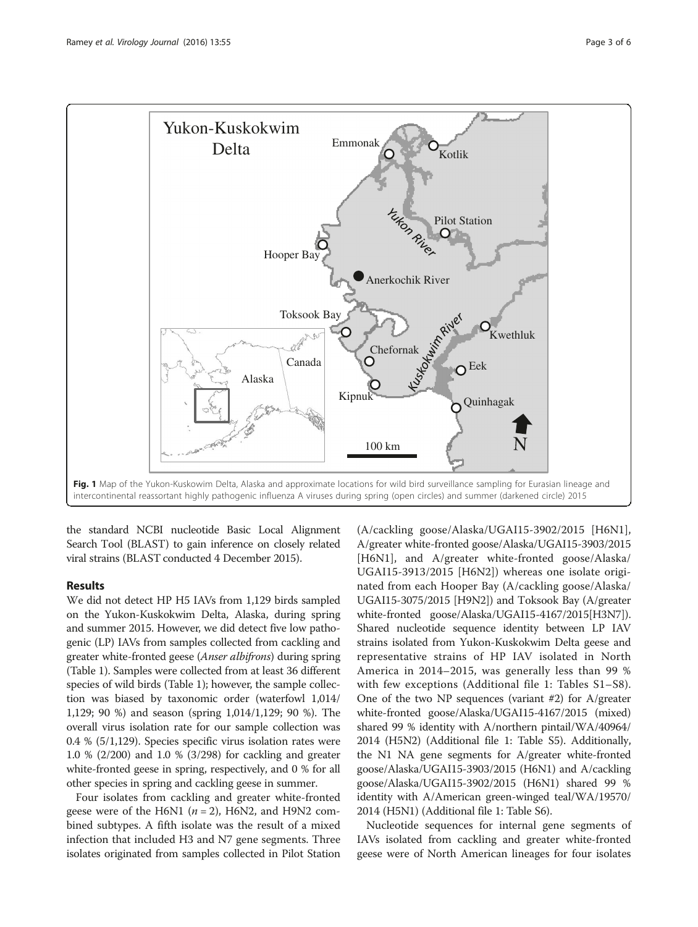<span id="page-2-0"></span>

the standard NCBI nucleotide Basic Local Alignment Search Tool (BLAST) to gain inference on closely related viral strains (BLAST conducted 4 December 2015).

# Results

We did not detect HP H5 IAVs from 1,129 birds sampled on the Yukon-Kuskokwim Delta, Alaska, during spring and summer 2015. However, we did detect five low pathogenic (LP) IAVs from samples collected from cackling and greater white-fronted geese (Anser albifrons) during spring (Table [1](#page-3-0)). Samples were collected from at least 36 different species of wild birds (Table [1](#page-3-0)); however, the sample collection was biased by taxonomic order (waterfowl 1,014/ 1,129; 90 %) and season (spring 1,014/1,129; 90 %). The overall virus isolation rate for our sample collection was 0.4 % (5/1,129). Species specific virus isolation rates were 1.0 % (2/200) and 1.0 % (3/298) for cackling and greater white-fronted geese in spring, respectively, and 0 % for all other species in spring and cackling geese in summer.

Four isolates from cackling and greater white-fronted geese were of the H6N1 ( $n = 2$ ), H6N2, and H9N2 combined subtypes. A fifth isolate was the result of a mixed infection that included H3 and N7 gene segments. Three isolates originated from samples collected in Pilot Station

(A/cackling goose/Alaska/UGAI15-3902/2015 [H6N1], A/greater white-fronted goose/Alaska/UGAI15-3903/2015 [H6N1], and A/greater white-fronted goose/Alaska/ UGAI15-3913/2015 [H6N2]) whereas one isolate originated from each Hooper Bay (A/cackling goose/Alaska/ UGAI15-3075/2015 [H9N2]) and Toksook Bay (A/greater white-fronted goose/Alaska/UGAI15-4167/2015[H3N7]). Shared nucleotide sequence identity between LP IAV strains isolated from Yukon-Kuskokwim Delta geese and representative strains of HP IAV isolated in North America in 2014–2015, was generally less than 99 % with few exceptions (Additional file [1](#page-4-0): Tables S1–S8). One of the two NP sequences (variant #2) for A/greater white-fronted goose/Alaska/UGAI15-4167/2015 (mixed) shared 99 % identity with A/northern pintail/WA/40964/ 2014 (H5N2) (Additional file [1](#page-4-0): Table S5). Additionally, the N1 NA gene segments for A/greater white-fronted goose/Alaska/UGAI15-3903/2015 (H6N1) and A/cackling goose/Alaska/UGAI15-3902/2015 (H6N1) shared 99 % identity with A/American green-winged teal/WA/19570/ 2014 (H5N1) (Additional file [1](#page-4-0): Table S6).

Nucleotide sequences for internal gene segments of IAVs isolated from cackling and greater white-fronted geese were of North American lineages for four isolates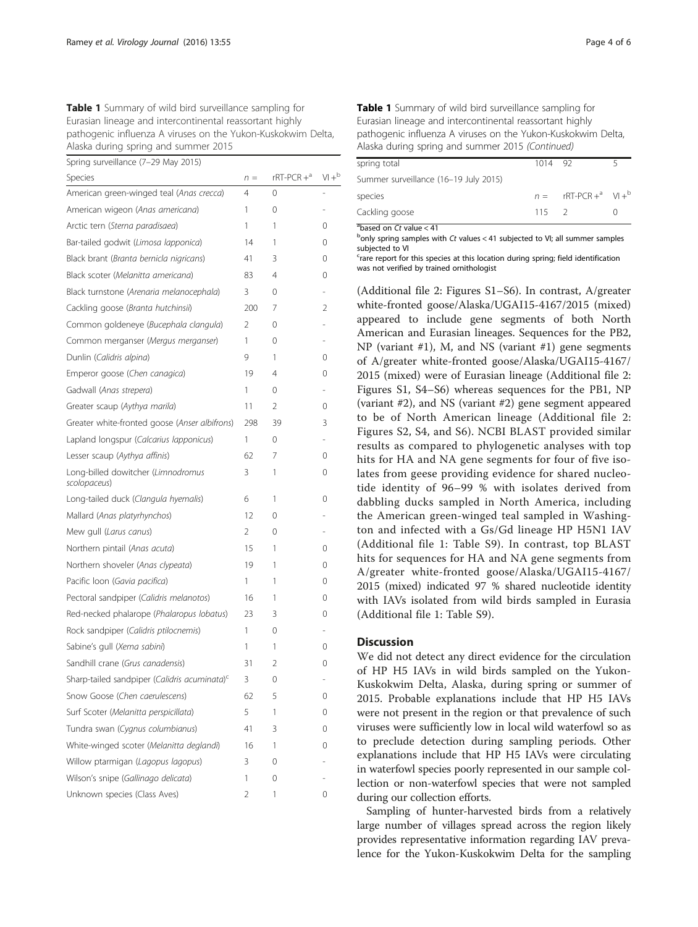<span id="page-3-0"></span>

| Table 1 Summary of wild bird surveillance sampling for       |
|--------------------------------------------------------------|
| Eurasian lineage and intercontinental reassortant highly     |
| pathogenic influenza A viruses on the Yukon-Kuskokwim Delta, |
| Alaska during spring and summer 2015                         |

| Spring surveillance (7-29 May 2015) |  |  |
|-------------------------------------|--|--|
|-------------------------------------|--|--|

| $\sigma$ princt surveniance (7 $\sigma$ 27 may 2013)     |                |                |                |
|----------------------------------------------------------|----------------|----------------|----------------|
| Species                                                  | $n =$          | $rRT-PCR +a$   | $VI +b$        |
| American green-winged teal (Anas crecca)                 | 4              | 0              |                |
| American wigeon (Anas americana)                         | 1              | 0              | ÷              |
| Arctic tern (Sterna paradisaea)                          | 1              | 1              | 0              |
| Bar-tailed godwit (Limosa lapponica)                     | 14             | 1              | 0              |
| Black brant (Branta bernicla nigricans)                  | 41             | 3              | 0              |
| Black scoter (Melanitta americana)                       | 83             | $\overline{4}$ | 0              |
| Black turnstone (Arenaria melanocephala)                 | 3              | 0              | $\overline{a}$ |
| Cackling goose (Branta hutchinsii)                       | 200            | 7              | 2              |
| Common goldeneye (Bucephala clangula)                    | 2              | 0              | L,             |
| Common merganser (Mergus merganser)                      | 1              | 0              |                |
| Dunlin (Calidris alpina)                                 | 9              | 1              | 0              |
| Emperor goose (Chen canagica)                            | 19             | $\overline{4}$ | 0              |
| Gadwall (Anas strepera)                                  | 1              | 0              | $\overline{a}$ |
| Greater scaup (Aythya marila)                            | 11             | 2              | 0              |
| Greater white-fronted goose (Anser albifrons)            | 298            | 39             | 3              |
| Lapland longspur (Calcarius lapponicus)                  | 1              | 0              | $\overline{a}$ |
| Lesser scaup (Aythya affinis)                            | 62             | 7              | 0              |
| Long-billed dowitcher (Limnodromus<br>scolopaceus)       | 3              | 1              | 0              |
| Long-tailed duck (Clangula hyemalis)                     | 6              | 1              | 0              |
| Mallard (Anas platyrhynchos)                             | 12             | 0              |                |
| Mew gull (Larus canus)                                   | 2              | 0              | L.             |
| Northern pintail (Anas acuta)                            | 15             | 1              | 0              |
| Northern shoveler (Anas clypeata)                        | 19             | 1              | 0              |
| Pacific loon (Gavia pacifica)                            | 1              | 1              | 0              |
| Pectoral sandpiper (Calidris melanotos)                  | 16             | 1              | $\Omega$       |
| Red-necked phalarope (Phalaropus lobatus)                | 23             | 3              | 0              |
| Rock sandpiper (Calidris ptilocnemis)                    | 1              | 0              | L.             |
| Sabine's gull (Xema sabini)                              | 1              | 1              | 0              |
| Sandhill crane (Grus canadensis)                         | 31             | 2              | 0              |
| Sharp-tailed sandpiper (Calidris acuminata) <sup>c</sup> | 3              | 0              | L,             |
| Snow Goose (Chen caerulescens)                           | 62             | 5              | 0              |
| Surf Scoter (Melanitta perspicillata)                    | 5              | 1              | 0              |
| Tundra swan (Cygnus columbianus)                         | 41             | 3              | 0              |
| White-winged scoter (Melanitta deglandi)                 | 16             | 1              | 0              |
| Willow ptarmigan (Lagopus lagopus)                       | 3              | 0              |                |
| Wilson's snipe (Gallinago delicata)                      | 1              | 0              |                |
| Unknown species (Class Aves)                             | $\overline{2}$ | 1              | 0              |

| Table 1 Summary of wild bird surveillance sampling for       |
|--------------------------------------------------------------|
| Eurasian lineage and intercontinental reassortant highly     |
| pathogenic influenza A viruses on the Yukon-Kuskokwim Delta, |
| Alaska during spring and summer 2015 (Continued)             |

| spring total                           | 1014 92       |                       |  |
|----------------------------------------|---------------|-----------------------|--|
| Summer surveillance (16-19 July 2015)  |               |                       |  |
| species                                |               | $n = rRT-PCR +a W +b$ |  |
| Cackling goose                         | $115 \quad 2$ |                       |  |
| $\frac{1}{2}$ based on Ct value $> 41$ |               |                       |  |

 $^{\text{a}}$ based on Ct value < 41<br>bonly spring samples w only spring samples with Ct values < 41 subjected to VI; all summer samples subjected to VI

<sup>c</sup>rare report for this species at this location during spring; field identification was not verified by trained ornithologist

(Additional file [2](#page-4-0): Figures S1–S6). In contrast, A/greater white-fronted goose/Alaska/UGAI15-4167/2015 (mixed) appeared to include gene segments of both North American and Eurasian lineages. Sequences for the PB2, NP (variant #1), M, and NS (variant #1) gene segments of A/greater white-fronted goose/Alaska/UGAI15-4167/ 2015 (mixed) were of Eurasian lineage (Additional file [2](#page-4-0): Figures S1, S4–S6) whereas sequences for the PB1, NP (variant #2), and NS (variant #2) gene segment appeared to be of North American lineage (Additional file [2](#page-4-0): Figures S2, S4, and S6). NCBI BLAST provided similar results as compared to phylogenetic analyses with top hits for HA and NA gene segments for four of five isolates from geese providing evidence for shared nucleotide identity of 96–99 % with isolates derived from dabbling ducks sampled in North America, including the American green-winged teal sampled in Washington and infected with a Gs/Gd lineage HP H5N1 IAV (Additional file [1](#page-4-0): Table S9). In contrast, top BLAST hits for sequences for HA and NA gene segments from A/greater white-fronted goose/Alaska/UGAI15-4167/ 2015 (mixed) indicated 97 % shared nucleotide identity with IAVs isolated from wild birds sampled in Eurasia (Additional file [1:](#page-4-0) Table S9).

#### **Discussion**

We did not detect any direct evidence for the circulation of HP H5 IAVs in wild birds sampled on the Yukon-Kuskokwim Delta, Alaska, during spring or summer of 2015. Probable explanations include that HP H5 IAVs were not present in the region or that prevalence of such viruses were sufficiently low in local wild waterfowl so as to preclude detection during sampling periods. Other explanations include that HP H5 IAVs were circulating in waterfowl species poorly represented in our sample collection or non-waterfowl species that were not sampled during our collection efforts.

Sampling of hunter-harvested birds from a relatively large number of villages spread across the region likely provides representative information regarding IAV prevalence for the Yukon-Kuskokwim Delta for the sampling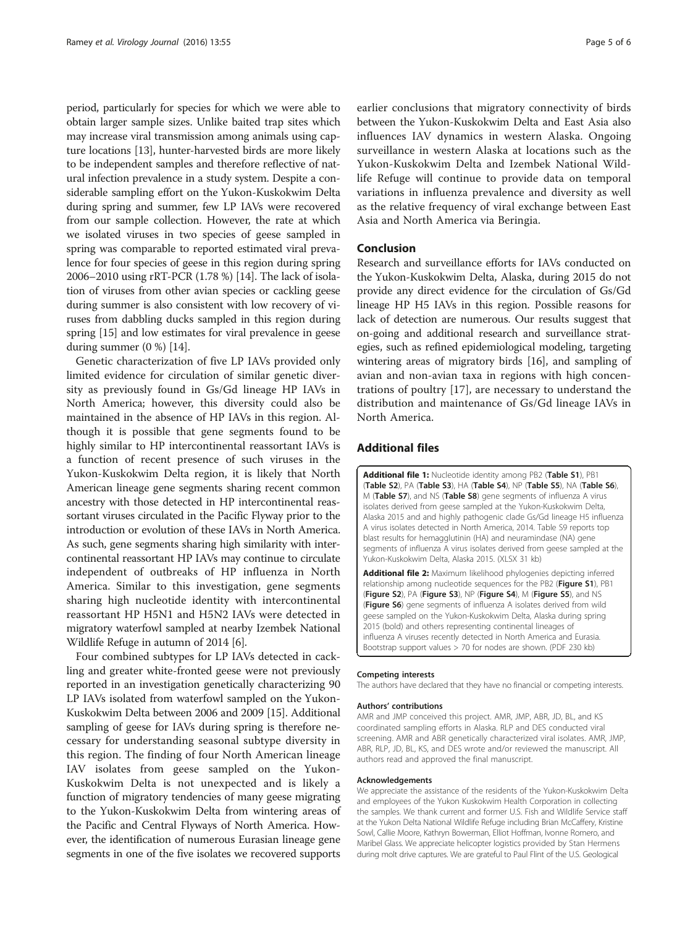<span id="page-4-0"></span>period, particularly for species for which we were able to obtain larger sample sizes. Unlike baited trap sites which may increase viral transmission among animals using capture locations [[13\]](#page-5-0), hunter-harvested birds are more likely to be independent samples and therefore reflective of natural infection prevalence in a study system. Despite a considerable sampling effort on the Yukon-Kuskokwim Delta during spring and summer, few LP IAVs were recovered from our sample collection. However, the rate at which we isolated viruses in two species of geese sampled in spring was comparable to reported estimated viral prevalence for four species of geese in this region during spring 2006–2010 using rRT-PCR (1.78 %) [\[14](#page-5-0)]. The lack of isolation of viruses from other avian species or cackling geese during summer is also consistent with low recovery of viruses from dabbling ducks sampled in this region during spring [[15](#page-5-0)] and low estimates for viral prevalence in geese during summer (0 %) [\[14](#page-5-0)].

Genetic characterization of five LP IAVs provided only limited evidence for circulation of similar genetic diversity as previously found in Gs/Gd lineage HP IAVs in North America; however, this diversity could also be maintained in the absence of HP IAVs in this region. Although it is possible that gene segments found to be highly similar to HP intercontinental reassortant IAVs is a function of recent presence of such viruses in the Yukon-Kuskokwim Delta region, it is likely that North American lineage gene segments sharing recent common ancestry with those detected in HP intercontinental reassortant viruses circulated in the Pacific Flyway prior to the introduction or evolution of these IAVs in North America. As such, gene segments sharing high similarity with intercontinental reassortant HP IAVs may continue to circulate independent of outbreaks of HP influenza in North America. Similar to this investigation, gene segments sharing high nucleotide identity with intercontinental reassortant HP H5N1 and H5N2 IAVs were detected in migratory waterfowl sampled at nearby Izembek National Wildlife Refuge in autumn of 2014 [[6\]](#page-5-0).

Four combined subtypes for LP IAVs detected in cackling and greater white-fronted geese were not previously reported in an investigation genetically characterizing 90 LP IAVs isolated from waterfowl sampled on the Yukon-Kuskokwim Delta between 2006 and 2009 [[15](#page-5-0)]. Additional sampling of geese for IAVs during spring is therefore necessary for understanding seasonal subtype diversity in this region. The finding of four North American lineage IAV isolates from geese sampled on the Yukon-Kuskokwim Delta is not unexpected and is likely a function of migratory tendencies of many geese migrating to the Yukon-Kuskokwim Delta from wintering areas of the Pacific and Central Flyways of North America. However, the identification of numerous Eurasian lineage gene segments in one of the five isolates we recovered supports

earlier conclusions that migratory connectivity of birds between the Yukon-Kuskokwim Delta and East Asia also influences IAV dynamics in western Alaska. Ongoing surveillance in western Alaska at locations such as the Yukon-Kuskokwim Delta and Izembek National Wildlife Refuge will continue to provide data on temporal variations in influenza prevalence and diversity as well as the relative frequency of viral exchange between East Asia and North America via Beringia.

# Conclusion

Research and surveillance efforts for IAVs conducted on the Yukon-Kuskokwim Delta, Alaska, during 2015 do not provide any direct evidence for the circulation of Gs/Gd lineage HP H5 IAVs in this region. Possible reasons for lack of detection are numerous. Our results suggest that on-going and additional research and surveillance strategies, such as refined epidemiological modeling, targeting wintering areas of migratory birds [\[16\]](#page-5-0), and sampling of avian and non-avian taxa in regions with high concentrations of poultry [\[17](#page-5-0)], are necessary to understand the distribution and maintenance of Gs/Gd lineage IAVs in North America.

# Additional files

[Additional file 1:](dx.doi.org/10.1186/s12985-016-0511-9) Nucleotide identity among PB2 (Table S1), PB1 (Table S2), PA (Table S3), HA (Table S4), NP (Table S5), NA (Table S6), M (Table S7), and NS (Table S8) gene segments of influenza A virus isolates derived from geese sampled at the Yukon-Kuskokwim Delta, Alaska 2015 and and highly pathogenic clade Gs/Gd lineage H5 influenza A virus isolates detected in North America, 2014. Table S9 reports top blast results for hemagglutinin (HA) and neuramindase (NA) gene segments of influenza A virus isolates derived from geese sampled at the Yukon-Kuskokwim Delta, Alaska 2015. (XLSX 31 kb)

[Additional file 2:](dx.doi.org/10.1186/s12985-016-0511-9) Maximum likelihood phylogenies depicting inferred relationship among nucleotide sequences for the PB2 (Figure S1), PB1 (Figure S2), PA (Figure S3), NP (Figure S4), M (Figure S5), and NS (Figure S6) gene segments of influenza A isolates derived from wild geese sampled on the Yukon-Kuskokwim Delta, Alaska during spring 2015 (bold) and others representing continental lineages of influenza A viruses recently detected in North America and Eurasia. Bootstrap support values > 70 for nodes are shown. (PDF 230 kb)

#### Competing interests

The authors have declared that they have no financial or competing interests.

#### Authors' contributions

AMR and JMP conceived this project. AMR, JMP, ABR, JD, BL, and KS coordinated sampling efforts in Alaska. RLP and DES conducted viral screening. AMR and ABR genetically characterized viral isolates. AMR, JMP, ABR, RLP, JD, BL, KS, and DES wrote and/or reviewed the manuscript. All authors read and approved the final manuscript.

#### Acknowledgements

We appreciate the assistance of the residents of the Yukon-Kuskokwim Delta and employees of the Yukon Kuskokwim Health Corporation in collecting the samples. We thank current and former U.S. Fish and Wildlife Service staff at the Yukon Delta National Wildlife Refuge including Brian McCaffery, Kristine Sowl, Callie Moore, Kathryn Bowerman, Elliot Hoffman, Ivonne Romero, and Maribel Glass. We appreciate helicopter logistics provided by Stan Hermens during molt drive captures. We are grateful to Paul Flint of the U.S. Geological